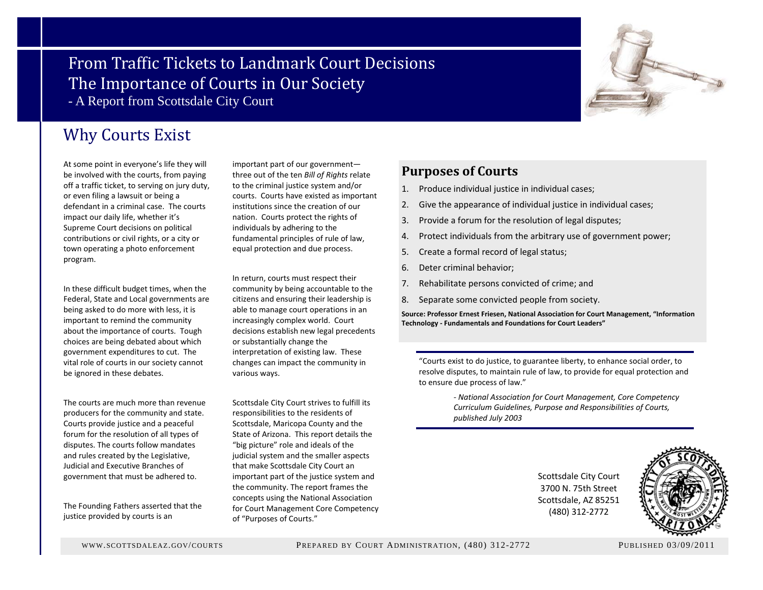### From Traffic Tickets to Landmark Court Decisions The Importance of Courts in Our Society - A Report from Scottsdale City Court



At some point in everyone's life they will be involved with the courts, from paying off a traffic ticket, to serving on jury duty, or even filing <sup>a</sup> lawsuit or being <sup>a</sup> defendant in <sup>a</sup> criminal case. The courts impact our daily life, whether it's Supreme Court decisions on political contributions or civil rights, or <sup>a</sup> city or town operating <sup>a</sup> photo enforcement program.

In these difficult budget times, when the Federal, State and Local governments are being asked to do more with less, it is important to remind the community about the importance of courts. Tough choices are being debated about which government expenditures to cut. The vital role of courts in our society cannot be ignored in these debates.

The courts are much more than revenue producers for the community and state. Courts provide justice and <sup>a</sup> peaceful forum for the resolution of all types of disputes. The courts follow mandates and rules created by the Legislative, Judicial and Executive Branches of government that must be adhered to.

The Founding Fathers asserted that the justice provided by courts is an

important part of our government three out of the ten *Bill of Rights* relate to the criminal justice system and/or courts. Courts have existed as important institutions since the creation of our nation. Courts protect the rights of individuals by adhering to the fundamental principles of rule of law, equal protection and due process.

In return, courts must respect their community by being accountable to the citizens and ensuring their leadership is able to manage court operations in an increasingly complex world. Court decisions establish new legal precedents or substantially change the interpretation of existing law. These changes can impact the community in various ways.

Scottsdale City Court strives to fulfill its responsibilities to the residents of Scottsdale, Maricopa County and the State of Arizona. This report details the "big picture" role and ideals of the judicial system and the smaller aspects that make Scottsdale City Court an important part of the justice system and the community. The report frames the concepts using the National Association for Court Management Core Competency of "Purposes of Courts."

### **Purposes of Courts**

- 1. Produce individual justice in individual cases;
- 2. Give the appearance of individual justice in individual cases;
- 3.Provide <sup>a</sup> forum for the resolution of legal disputes;
- 4.Protect individuals from the arbitrary use of government power;
- 5.Create <sup>a</sup> formal record of legal status;
- 6.. Deter criminal behavior;
- 7.Rehabilitate persons convicted of crime; and
- 8.Separate some convicted people from society.

**Source: Professor Ernest Friesen, National Association for Court Management, "Information Technology ‐ Fundamentals and Foundations for Court Leaders"**

"Courts exist to do justice, to guarantee liberty, to enhance social order, to resolve disputes, to maintain rule of law, to provide for equal protection and to ensure due process of law."

> *‐ National Association for Court Management, Core Competency Curriculum Guidelines, Purpose and Responsibilities of Courts, published July 2003*

> > Scottsdale City Court 3700 N. 75th Street Scottsdale, AZ 85251 (480) 312‐2772



WWW.SCOTTSDALEAZ.GOV/COURTS

PREPARED BY COURT ADMINISTRATION, (480) 312-2772 PUBLISHED 03/09/2011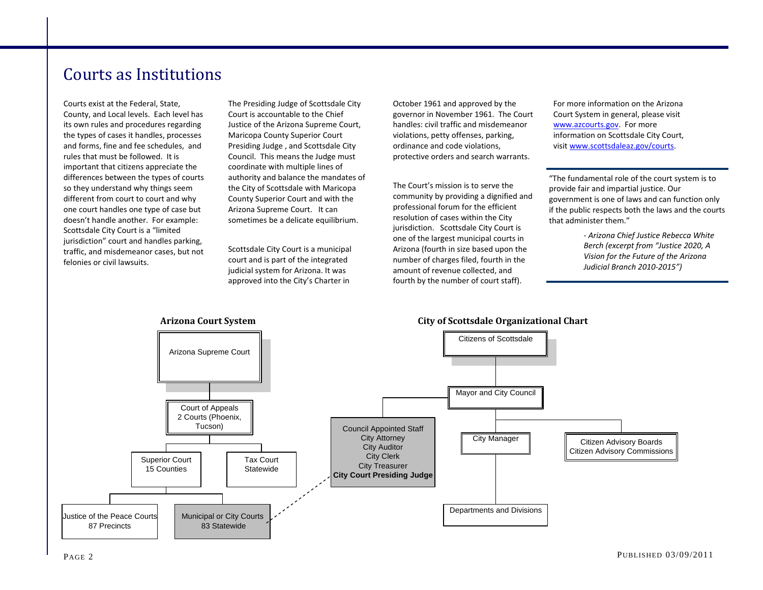### Courts as Institutions

Courts exist at the Federal, State, County, and Local levels. Each level has its own rules and procedures regarding the types of cases it handles, processes and forms, fine and fee schedules, and rules that must be followed. It is important that citizens appreciate the differences between the types of courts so they understand why things seem different from court to court and why one court handles one type of case but doesn't handle another. For example: Scottsdale City Court is <sup>a</sup> "limited jurisdiction" court and handles parking, traffic, and misdemeanor cases, but not felonies or civil lawsuits.

The Presiding Judge of Scottsdale City Court is accountable to the Chief Justice of the Arizona Supreme Court, Maricopa County Superior Court Presiding Judge , and Scottsdale City Council. This means the Judge must coordinate with multiple lines of authority and balance the mandates of the City of Scottsdale with Maricopa County Superior Court and with the Arizona Supreme Court. It can sometimes be <sup>a</sup> delicate equilibrium.

Scottsdale City Court is <sup>a</sup> municipal court and is part of the integrated judicial system for Arizona. It was approved into the City's Charter in

October 1961 and approved by the governor in November 1961. The Court handles: civil traffic and misdemeanor violations, petty offenses, parking, ordinance and code violations, protective orders and search warrants.

The Court's mission is to serve the community by providing <sup>a</sup> dignified and professional forum for the efficient resolution of cases within the City jurisdiction. Scottsdale City Court is one of the largest municipal courts in Arizona (fourth in size based upon the number of charges filed, fourth in the amount of revenue collected, and fourth by the number of court staff).

For more information on the Arizona Court System in general, please visit www.azcourts.gov. For more information on Scottsdale City Court, visit www.scottsdaleaz.gov/courts.

"The fundamental role of the court system is to provide fair and impartial justice. Our government is one of laws and can function only if the public respects both the laws and the courts that administer them."

> *‐ Arizona Chief Justice Rebecca White Berch (excerpt from "Justice 2020, A Vision for the Future of the Arizona Judicial Branch 2010‐2015")*

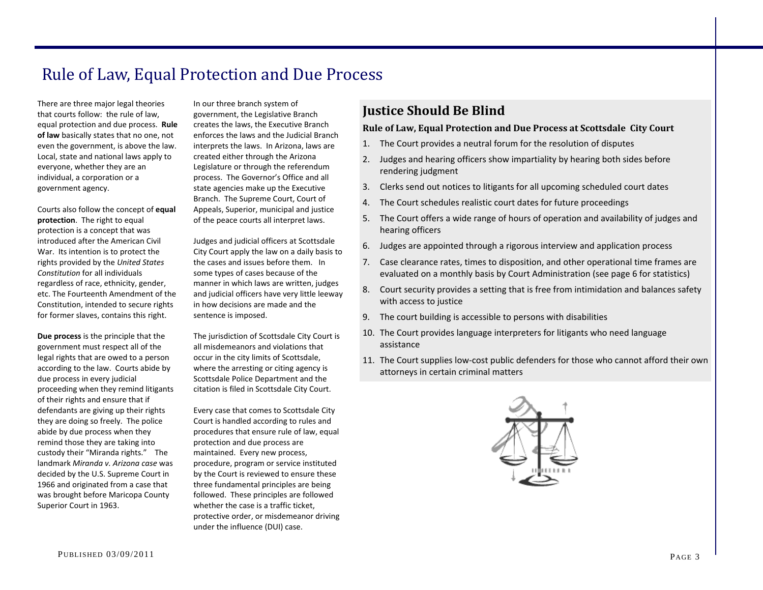# Rule of Law, Equal Protection and Due Process

There are three major legal theories that courts follow: the rule of law, equal protection and due process. **Rule of law** basically states that no one, not even the government, is above the law. Local, state and national laws apply to everyone, whether they are an individual, <sup>a</sup> corporation or <sup>a</sup> government agency.

Courts also follow the concept of **equal protection**. The right to equal protection is <sup>a</sup> concept that was introduced after the American Civil War. Its intention is to protect the rights provided by the *United States Constitution* for all individuals regardless of race, ethnicity, gender, etc. The Fourteenth Amendment of the Constitution, intended to secure rights for former slaves, contains this right.

**Due process** is the principle that the government must respect all of the legal rights that are owed to <sup>a</sup> person according to the law. Courts abide by due process in every judicial proceeding when they remind litigants of their rights and ensure that if defendants are giving up their rights they are doing so freely. The police abide by due process when they remind those they are taking into custody their "Miranda rights." The landmark *Miranda v. Arizona case* was decided by the U.S. Supreme Court in 1966 and originated from <sup>a</sup> case that was brought before Maricopa County Superior Court in 1963.

In our three branch system of government, the Legislative Branch creates the laws, the Executive Branch enforces the laws and the Judicial Branch interprets the laws. In Arizona, laws are created either through the Arizona Legislature or through the referendum process. The Governor's Office and all state agencies make up the Executive Branch. The Supreme Court, Court of Appeals, Superior, municipal and justice of the peace courts all interpret laws.

Judges and judicial officers at Scottsdale City Court apply the law on <sup>a</sup> daily basis to the cases and issues before them. In some types of cases because of the manner in which laws are written, judges and judicial officers have very little leeway in how decisions are made and the sentence is imposed.

The jurisdiction of Scottsdale City Court is all misdemeanors and violations that occur in the city limits of Scottsdale, where the arresting or citing agency is Scottsdale Police Department and the citation is filed in Scottsdale City Court.

Every case that comes to Scottsdale City Court is handled according to rules and procedures that ensure rule of law, equal protection and due process are maintained. Every new process, procedure, program or service instituted by the Court is reviewed to ensure these three fundamental principles are being followed. These principles are followed whether the case is <sup>a</sup> traffic ticket, protective order, or misdemeanor driving under the influence (DUI) case.

### **Justice Should Be Blind**

### **Rule of Law, Equal Protection and Due Process at Scottsdale City Court**

- 1. The Court provides <sup>a</sup> neutral forum for the resolution of disputes
- 2. Judges and hearing officers show impartiality by hearing both sides before rendering judgment
- 3. Clerks send out notices to litigants for all upcoming scheduled court dates
- 4. The Court schedules realistic court dates for future proceedings
- 5. The Court offers <sup>a</sup> wide range of hours of operation and availability of judges and hearing officers
- 6. Judges are appointed through <sup>a</sup> rigorous interview and application process
- 7. Case clearance rates, times to disposition, and other operational time frames are evaluated on <sup>a</sup> monthly basis by Court Administration (see page 6 for statistics)
- 8. Court security provides <sup>a</sup> setting that is free from intimidation and balances safety with access to justice
- 9. The court building is accessible to persons with disabilities
- 10. The Court provides language interpreters for litigants who need language assistance
- 11. The Court supplies low‐cost public defenders for those who cannot afford their own attorneys in certain criminal matters

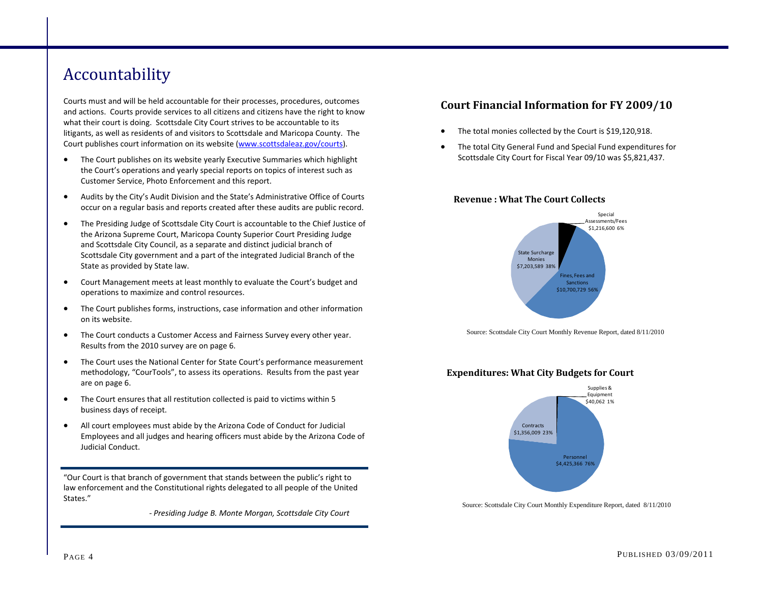# Accountability

Courts must and will be held accountable for their processes, procedures, outcomes and actions. Courts provide services to all citizens and citizens have the right to know what their court is doing. Scottsdale City Court strives to be accountable to its litigants, as well as residents of and visitors to Scottsdale and Maricopa County. The Court publishes court information on its website (www.scottsdaleaz.gov/courts).

- $\bullet$  The Court publishes on its website yearly Executive Summaries which highlight the Court's operations and yearly special reports on topics of interest such as Customer Service, Photo Enforcement and this report.
- $\bullet$  Audits by the City's Audit Division and the State's Administrative Office of Courts occur on <sup>a</sup> regular basis and reports created after these audits are public record.
- $\bullet$  The Presiding Judge of Scottsdale City Court is accountable to the Chief Justice of the Arizona Supreme Court, Maricopa County Superior Court Presiding Judge and Scottsdale City Council, as <sup>a</sup> separate and distinct judicial branch of Scottsdale City government and <sup>a</sup> part of the integrated Judicial Branch of the State as provided by State law.
- $\bullet$  Court Management meets at least monthly to evaluate the Court's budget and operations to maximize and control resources.
- $\bullet$  The Court publishes forms, instructions, case information and other information on its website.
- $\bullet$  The Court conducts <sup>a</sup> Customer Access and Fairness Survey every other year. Results from the 2010 survey are on page 6.
- $\bullet$  The Court uses the National Center for State Court's performance measurement methodology, "CourTools", to assess its operations. Results from the past year are on page 6.
- $\bullet$  The Court ensures that all restitution collected is paid to victims within 5 business days of receipt.
- $\bullet$  All court employees must abide by the Arizona Code of Conduct for Judicial Employees and all judges and hearing officers must abide by the Arizona Code of Judicial Conduct.

"Our Court is that branch of government that stands between the public's right to law enforcement and the Constitutional rights delegated to all people of the United States."

 *‐ Presiding Judge B. Monte Morgan, Scottsdale City Court*

### **Court Financial Information for FY 2009/10**

- $\bullet$ The total monies collected by the Court is \$19,120,918.
- $\bullet$  The total City General Fund and Special Fund expenditures for Scottsdale City Court for Fiscal Year 09/10 was \$5,821,437.

#### **Revenue : What The Court Collects**



Source: Scottsdale City Court Monthly Revenue Report, dated 8/11/2010





Source: Scottsdale City Court Monthly Expenditure Report, dated 8/11/2010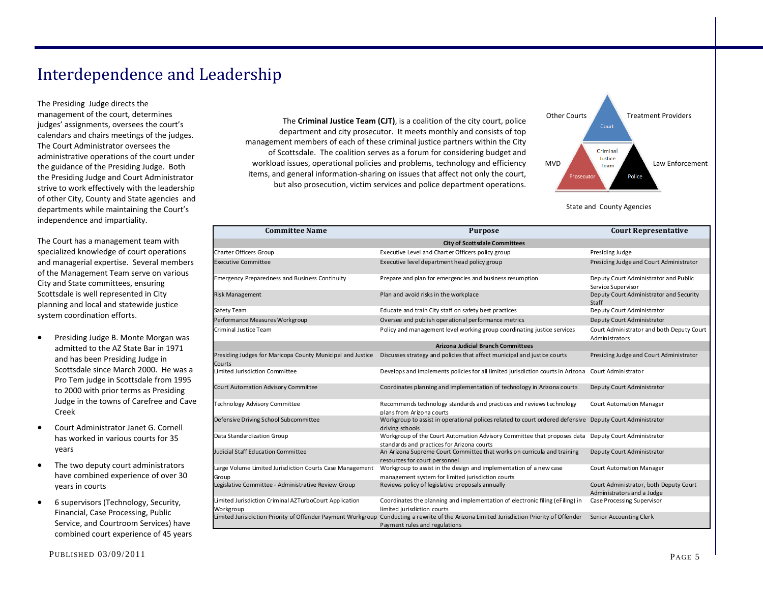# Interdependence and Leadership

The Presiding Judge directs the management of the court, determines judges' assignments, oversees the court's calendars and chairs meetings of the judges. The Court Administrator oversees the administrative operations of the court under the guidance of the Presiding Judge. Both the Presiding Judge and Court Administrator strive to work effectively with the leadership of other City, County and State agencies and departments while maintaining the Court's independence and impartiality.

The Court has <sup>a</sup> management team with specialized knowledge of court operations and managerial expertise. Several members of the Management Team serve on various City and State committees, ensuring Scottsdale is well represented in City planning and local and statewide justice system coordination efforts.

- $\bullet$  Presiding Judge B. Monte Morgan was admitted to the AZ State Bar in 1971 and has been Presiding Judge in Scottsdale since March 2000. He was <sup>a</sup> Pro Tem judge in Scottsdale from 1995 to 2000 with prior terms as Presiding Judge in the towns of Carefree and Cave Creek
- $\bullet$  Court Administrator Janet G. Cornell has worked in various courts for 35 years
- $\bullet$  The two deputy court administrators have combined experience of over 30 years in courts
- $\bullet$  6 supervisors (Technology, Security, Financial, Case Processing, Public Service, and Courtroom Services) have combined court experience of 45 years

The **Criminal Justice Team (CJT)**, is <sup>a</sup> coalition of the city court, police department and city prosecutor. It meets monthly and consists of top management members of each of these criminal justice partners within the City of Scottsdale. The coalition serves as <sup>a</sup> forum for considering budget and workload issues, operational policies and problems, technology and efficiency items, and general information‐sharing on issues that affect not only the court, but also prosecution, victim services and police department operations.



State and County Agencies

| <b>Committee Name</b>                                                | <b>Purpose</b>                                                                                                              | <b>Court Representative</b>                                          |  |
|----------------------------------------------------------------------|-----------------------------------------------------------------------------------------------------------------------------|----------------------------------------------------------------------|--|
|                                                                      | City of Scottsdale Committees                                                                                               |                                                                      |  |
| <b>Charter Officers Group</b>                                        | Executive Level and Charter Officers policy group                                                                           | Presiding Judge                                                      |  |
| <b>Executive Committee</b>                                           | Executive level department head policy group                                                                                | Presiding Judge and Court Administrator                              |  |
| <b>Emergency Preparedness and Business Continuity</b>                | Prepare and plan for emergencies and business resumption                                                                    | Deputy Court Administrator and Public<br>Service Supervisor          |  |
| <b>Risk Management</b>                                               | Plan and avoid risks in the workplace                                                                                       | Deputy Court Administrator and Security<br>Staff                     |  |
| Safety Team                                                          | Educate and train City staff on safety best practices                                                                       | Deputy Court Administrator                                           |  |
| Performance Measures Workgroup                                       | Oversee and publish operational performance metrics                                                                         | Deputy Court Administrator                                           |  |
| Criminal Justice Team                                                | Policy and management level working group coordinating justice services                                                     | Court Administrator and both Deputy Court<br>Administrators          |  |
|                                                                      | <b>Arizona Judicial Branch Committees</b>                                                                                   |                                                                      |  |
| Presiding Judges for Maricopa County Municipal and Justice<br>Courts | Discusses strategy and policies that affect municipal and justice courts                                                    | Presiding Judge and Court Administrator                              |  |
| imited Jurisdiction Committee                                        | Develops and implements policies for all limited jurisdiction courts in Arizona Court Administrator                         |                                                                      |  |
| Court Automation Advisory Committee                                  | Coordinates planning and implementation of technology in Arizona courts                                                     | Deputy Court Administrator                                           |  |
| Technology Advisory Committee                                        | Recommends technology standards and practices and reviews technology<br>plans from Arizona courts                           | Court Automation Manager                                             |  |
| Defensive Driving School Subcommittee                                | Workgroup to assist in operational polices related to court ordered defensive Deputy Court Administrator<br>driving schools |                                                                      |  |
| Data Standardization Group                                           | Workgroup of the Court Automation Advisory Committee that proposes data<br>standards and practices for Arizona courts       | Deputy Court Administrator                                           |  |
| <b>Judicial Staff Education Committee</b>                            | An Arizona Supreme Court Committee that works on curricula and training<br>resources for court personnel                    | Deputy Court Administrator                                           |  |
| Large Volume Limited Jurisdiction Courts Case Management<br>Group    | Workgroup to assist in the design and implementation of a new case<br>management system for limited jurisdiction courts     | Court Automation Manager                                             |  |
| Legislative Committee - Administrative Review Group                  | Reviews policy of legislative proposals annually                                                                            | Court Administrator, both Deputy Court<br>Administrators and a Judge |  |
| imited Jurisdiction Criminal AZTurboCourt Application<br>Workgroup   | Coordinates the planning and implementation of electronic filing (eFiling) in<br>limited jurisdiction courts                | Case Processing Supervisor                                           |  |
| Limited Jurisidiction Priority of Offender Payment Workgroup         | Conducting a rewrite of the Arizona Limited Jurisdiction Priority of Offender<br>Payment rules and regulations              | Senior Accounting Clerk                                              |  |